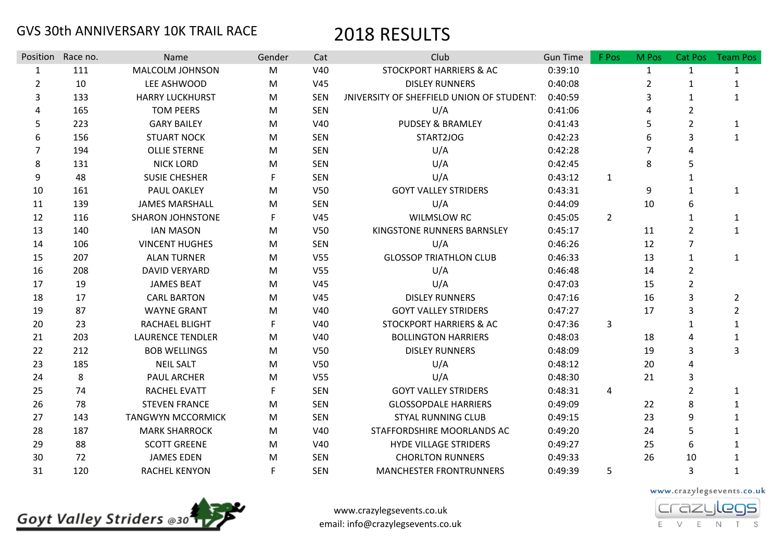| Position       | Race no. | Name                     | Gender | Cat             | Club                                             | <b>Gun Time</b> | F Pos        | M Pos        | <b>Cat Pos</b> | <b>Team Pos</b> |
|----------------|----------|--------------------------|--------|-----------------|--------------------------------------------------|-----------------|--------------|--------------|----------------|-----------------|
| $\mathbf{1}$   | 111      | <b>MALCOLM JOHNSON</b>   | M      | V40             | <b>STOCKPORT HARRIERS &amp; AC</b>               | 0:39:10         |              | $\mathbf{1}$ | $\mathbf{1}$   | $\mathbf{1}$    |
| $\overline{2}$ | 10       | LEE ASHWOOD              | M      | V <sub>45</sub> | <b>DISLEY RUNNERS</b>                            | 0:40:08         |              | 2            | $\mathbf{1}$   | $\mathbf{1}$    |
| 3              | 133      | <b>HARRY LUCKHURST</b>   | M      | <b>SEN</b>      | <b>JNIVERSITY OF SHEFFIELD UNION OF STUDENT:</b> | 0:40:59         |              | 3            | $\mathbf{1}$   | $\mathbf{1}$    |
| 4              | 165      | <b>TOM PEERS</b>         | M      | <b>SEN</b>      | U/A                                              | 0:41:06         |              | 4            | $\overline{2}$ |                 |
| 5              | 223      | <b>GARY BAILEY</b>       | M      | V40             | <b>PUDSEY &amp; BRAMLEY</b>                      | 0:41:43         |              | 5            | $\overline{2}$ | $\mathbf{1}$    |
| 6              | 156      | <b>STUART NOCK</b>       | M      | <b>SEN</b>      | START2JOG                                        | 0:42:23         |              | 6            | 3              | $\mathbf{1}$    |
| 7              | 194      | <b>OLLIE STERNE</b>      | M      | <b>SEN</b>      | U/A                                              | 0:42:28         |              | 7            | 4              |                 |
| 8              | 131      | <b>NICK LORD</b>         | M      | <b>SEN</b>      | U/A                                              | 0:42:45         |              | 8            | 5              |                 |
| 9              | 48       | <b>SUSIE CHESHER</b>     | F      | <b>SEN</b>      | U/A                                              | 0:43:12         | $\mathbf{1}$ |              | 1              |                 |
| 10             | 161      | PAUL OAKLEY              | M      | V50             | <b>GOYT VALLEY STRIDERS</b>                      | 0:43:31         |              | 9            | 1              | 1               |
| 11             | 139      | <b>JAMES MARSHALL</b>    | M      | <b>SEN</b>      | U/A                                              | 0:44:09         |              | 10           | 6              |                 |
| 12             | 116      | <b>SHARON JOHNSTONE</b>  | F      | V45             | <b>WILMSLOW RC</b>                               | 0:45:05         | $2^{\circ}$  |              | 1              | 1               |
| 13             | 140      | <b>IAN MASON</b>         | M      | V50             | KINGSTONE RUNNERS BARNSLEY                       | 0:45:17         |              | 11           | $\overline{2}$ | $\mathbf{1}$    |
| 14             | 106      | <b>VINCENT HUGHES</b>    | M      | <b>SEN</b>      | U/A                                              | 0:46:26         |              | 12           | $\overline{7}$ |                 |
| 15             | 207      | <b>ALAN TURNER</b>       | M      | V <sub>55</sub> | <b>GLOSSOP TRIATHLON CLUB</b>                    | 0:46:33         |              | 13           | $\mathbf{1}$   | $\mathbf{1}$    |
| 16             | 208      | <b>DAVID VERYARD</b>     | M      | V <sub>55</sub> | U/A                                              | 0:46:48         |              | 14           | 2              |                 |
| 17             | 19       | <b>JAMES BEAT</b>        | M      | V45             | U/A                                              | 0:47:03         |              | 15           | $\overline{2}$ |                 |
| 18             | 17       | <b>CARL BARTON</b>       | M      | V45             | <b>DISLEY RUNNERS</b>                            | 0:47:16         |              | 16           | 3              | $\overline{2}$  |
| 19             | 87       | <b>WAYNE GRANT</b>       | M      | V40             | <b>GOYT VALLEY STRIDERS</b>                      | 0:47:27         |              | 17           | 3              | $\overline{2}$  |
| 20             | 23       | RACHAEL BLIGHT           | F      | V40             | <b>STOCKPORT HARRIERS &amp; AC</b>               | 0:47:36         | 3            |              | 1              | $\mathbf{1}$    |
| 21             | 203      | <b>LAURENCE TENDLER</b>  | M      | V40             | <b>BOLLINGTON HARRIERS</b>                       | 0:48:03         |              | 18           | 4              | $\mathbf{1}$    |
| 22             | 212      | <b>BOB WELLINGS</b>      | M      | V50             | <b>DISLEY RUNNERS</b>                            | 0:48:09         |              | 19           | 3              | 3               |
| 23             | 185      | <b>NEIL SALT</b>         | M      | <b>V50</b>      | U/A                                              | 0:48:12         |              | 20           | 4              |                 |
| 24             | 8        | <b>PAUL ARCHER</b>       | M      | V <sub>55</sub> | U/A                                              | 0:48:30         |              | 21           | 3              |                 |
| 25             | 74       | <b>RACHEL EVATT</b>      | F      | <b>SEN</b>      | <b>GOYT VALLEY STRIDERS</b>                      | 0:48:31         | 4            |              | $\mathfrak{p}$ |                 |
| 26             | 78       | <b>STEVEN FRANCE</b>     | M      | <b>SEN</b>      | <b>GLOSSOPDALE HARRIERS</b>                      | 0:49:09         |              | 22           | 8              | 1               |
| 27             | 143      | <b>TANGWYN MCCORMICK</b> | M      | <b>SEN</b>      | <b>STYAL RUNNING CLUB</b>                        | 0:49:15         |              | 23           | 9              | 1               |
| 28             | 187      | <b>MARK SHARROCK</b>     | M      | V40             | STAFFORDSHIRE MOORLANDS AC                       | 0:49:20         |              | 24           | 5              |                 |
| 29             | 88       | <b>SCOTT GREENE</b>      | M      | V40             | <b>HYDE VILLAGE STRIDERS</b>                     | 0:49:27         |              | 25           | 6              | 1               |
| 30             | 72       | <b>JAMES EDEN</b>        | M      | <b>SEN</b>      | <b>CHORLTON RUNNERS</b>                          | 0:49:33         |              | 26           | 10             | 1               |
| 31             | 120      | RACHEL KENYON            | F      | <b>SEN</b>      | <b>MANCHESTER FRONTRUNNERS</b>                   | 0:49:39         | 5            |              | 3              | $\mathbf{1}$    |



www.crazylegsevents.co.uk email: info@crazylegsevents.co.uk

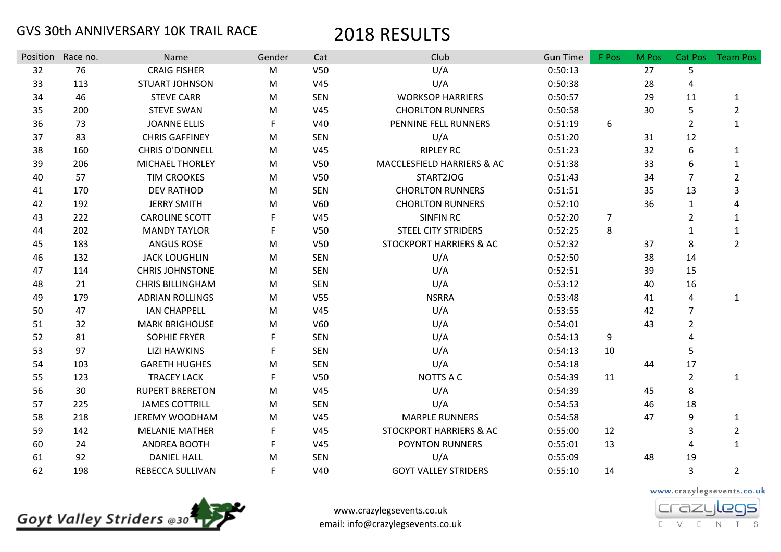| Position | Race no. | Name                    | Gender | Cat             | Club                               | <b>Gun Time</b> | F Pos          | M Pos | Cat Pos        | <b>Team Pos</b> |
|----------|----------|-------------------------|--------|-----------------|------------------------------------|-----------------|----------------|-------|----------------|-----------------|
| 32       | 76       | <b>CRAIG FISHER</b>     | M      | V50             | U/A                                | 0:50:13         |                | 27    | 5              |                 |
| 33       | 113      | STUART JOHNSON          | M      | V45             | U/A                                | 0:50:38         |                | 28    | 4              |                 |
| 34       | 46       | <b>STEVE CARR</b>       | M      | <b>SEN</b>      | <b>WORKSOP HARRIERS</b>            | 0:50:57         |                | 29    | 11             | 1               |
| 35       | 200      | <b>STEVE SWAN</b>       | M      | V <sub>45</sub> | <b>CHORLTON RUNNERS</b>            | 0:50:58         |                | 30    | 5              | $\overline{2}$  |
| 36       | 73       | <b>JOANNE ELLIS</b>     | F.     | V40             | PENNINE FELL RUNNERS               | 0:51:19         | 6              |       | $\overline{2}$ | $\mathbf{1}$    |
| 37       | 83       | <b>CHRIS GAFFINEY</b>   | M      | <b>SEN</b>      | U/A                                | 0:51:20         |                | 31    | 12             |                 |
| 38       | 160      | <b>CHRIS O'DONNELL</b>  | M      | V45             | <b>RIPLEY RC</b>                   | 0:51:23         |                | 32    | 6              | 1               |
| 39       | 206      | <b>MICHAEL THORLEY</b>  | M      | V50             | MACCLESFIELD HARRIERS & AC         | 0:51:38         |                | 33    | 6              | $\mathbf{1}$    |
| 40       | 57       | <b>TIM CROOKES</b>      | M      | V50             | START2JOG                          | 0:51:43         |                | 34    | $\overline{7}$ | $\overline{2}$  |
| 41       | 170      | <b>DEV RATHOD</b>       | M      | <b>SEN</b>      | <b>CHORLTON RUNNERS</b>            | 0:51:51         |                | 35    | 13             | 3               |
| 42       | 192      | <b>JERRY SMITH</b>      | M      | V60             | <b>CHORLTON RUNNERS</b>            | 0:52:10         |                | 36    | $\mathbf{1}$   | 4               |
| 43       | 222      | <b>CAROLINE SCOTT</b>   | F.     | V45             | <b>SINFIN RC</b>                   | 0:52:20         | $\overline{7}$ |       | $\overline{2}$ | $\mathbf{1}$    |
| 44       | 202      | <b>MANDY TAYLOR</b>     | F.     | V50             | <b>STEEL CITY STRIDERS</b>         | 0:52:25         | 8              |       | $\mathbf{1}$   | $\mathbf{1}$    |
| 45       | 183      | <b>ANGUS ROSE</b>       | M      | V50             | <b>STOCKPORT HARRIERS &amp; AC</b> | 0:52:32         |                | 37    | 8              | $\overline{2}$  |
| 46       | 132      | <b>JACK LOUGHLIN</b>    | M      | <b>SEN</b>      | U/A                                | 0:52:50         |                | 38    | 14             |                 |
| 47       | 114      | <b>CHRIS JOHNSTONE</b>  | M      | <b>SEN</b>      | U/A                                | 0:52:51         |                | 39    | 15             |                 |
| 48       | 21       | <b>CHRIS BILLINGHAM</b> | M      | <b>SEN</b>      | U/A                                | 0:53:12         |                | 40    | 16             |                 |
| 49       | 179      | <b>ADRIAN ROLLINGS</b>  | M      | V <sub>55</sub> | <b>NSRRA</b>                       | 0:53:48         |                | 41    | 4              | 1               |
| 50       | 47       | <b>IAN CHAPPELL</b>     | M      | V45             | U/A                                | 0:53:55         |                | 42    | $\overline{7}$ |                 |
| 51       | 32       | <b>MARK BRIGHOUSE</b>   | M      | V60             | U/A                                | 0:54:01         |                | 43    | $\overline{2}$ |                 |
| 52       | 81       | <b>SOPHIE FRYER</b>     |        | <b>SEN</b>      | U/A                                | 0:54:13         | 9              |       | 4              |                 |
| 53       | 97       | <b>LIZI HAWKINS</b>     | F.     | <b>SEN</b>      | U/A                                | 0:54:13         | 10             |       | 5              |                 |
| 54       | 103      | <b>GARETH HUGHES</b>    | M      | <b>SEN</b>      | U/A                                | 0:54:18         |                | 44    | 17             |                 |
| 55       | 123      | <b>TRACEY LACK</b>      | F      | V50             | <b>NOTTS A C</b>                   | 0:54:39         | 11             |       | $\overline{2}$ | 1               |
| 56       | 30       | <b>RUPERT BRERETON</b>  | M      | V45             | U/A                                | 0:54:39         |                | 45    | 8              |                 |
| 57       | 225      | <b>JAMES COTTRILL</b>   | M      | <b>SEN</b>      | U/A                                | 0:54:53         |                | 46    | 18             |                 |
| 58       | 218      | <b>JEREMY WOODHAM</b>   | M      | V45             | <b>MARPLE RUNNERS</b>              | 0:54:58         |                | 47    | 9              | 1               |
| 59       | 142      | <b>MELANIE MATHER</b>   | F.     | V45             | STOCKPORT HARRIERS & AC            | 0:55:00         | 12             |       | 3              | $\overline{2}$  |
| 60       | 24       | ANDREA BOOTH            | F.     | V45             | POYNTON RUNNERS                    | 0:55:01         | 13             |       | 4              | $\mathbf{1}$    |
| 61       | 92       | <b>DANIEL HALL</b>      | M      | <b>SEN</b>      | U/A                                | 0:55:09         |                | 48    | 19             |                 |
| 62       | 198      | REBECCA SULLIVAN        | F      | V40             | <b>GOYT VALLEY STRIDERS</b>        | 0:55:10         | 14             |       | 3              | $\overline{2}$  |



www.crazylegsevents.co.uk email: info@crazylegsevents.co.uk

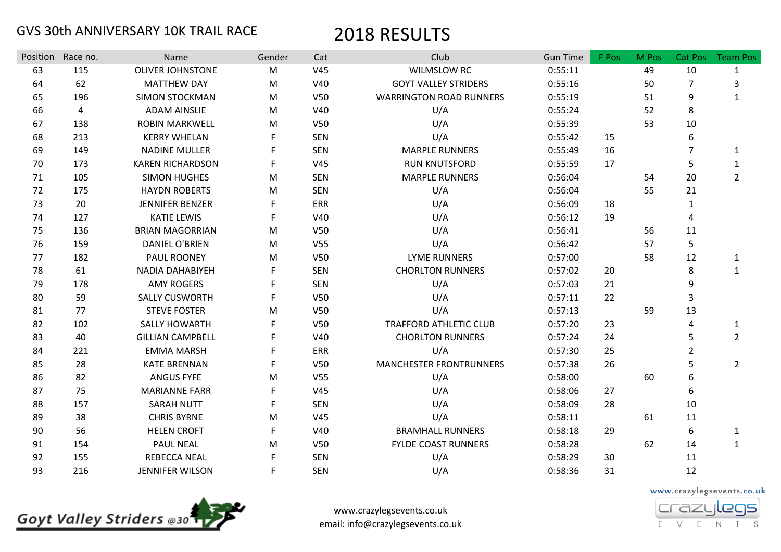| Position | Race no. | Name                    | Gender    | Cat             | Club                           | <b>Gun Time</b> | F Pos | M Pos | Cat Pos        | <b>Team Pos</b> |
|----------|----------|-------------------------|-----------|-----------------|--------------------------------|-----------------|-------|-------|----------------|-----------------|
| 63       | 115      | <b>OLIVER JOHNSTONE</b> | ${\sf M}$ | V45             | <b>WILMSLOW RC</b>             | 0:55:11         |       | 49    | 10             | 1               |
| 64       | 62       | <b>MATTHEW DAY</b>      | ${\sf M}$ | V40             | <b>GOYT VALLEY STRIDERS</b>    | 0:55:16         |       | 50    | $\overline{7}$ | 3               |
| 65       | 196      | <b>SIMON STOCKMAN</b>   | M         | V50             | <b>WARRINGTON ROAD RUNNERS</b> | 0:55:19         |       | 51    | 9              | $\mathbf{1}$    |
| 66       | 4        | <b>ADAM AINSLIE</b>     | M         | V40             | U/A                            | 0:55:24         |       | 52    | 8              |                 |
| 67       | 138      | <b>ROBIN MARKWELL</b>   | M         | <b>V50</b>      | U/A                            | 0:55:39         |       | 53    | 10             |                 |
| 68       | 213      | <b>KERRY WHELAN</b>     | F         | <b>SEN</b>      | U/A                            | 0:55:42         | 15    |       | 6              |                 |
| 69       | 149      | <b>NADINE MULLER</b>    | F         | <b>SEN</b>      | <b>MARPLE RUNNERS</b>          | 0:55:49         | 16    |       | $\overline{7}$ | $\mathbf{1}$    |
| 70       | 173      | <b>KAREN RICHARDSON</b> | F         | V45             | <b>RUN KNUTSFORD</b>           | 0:55:59         | 17    |       | 5              | $\mathbf{1}$    |
| 71       | 105      | <b>SIMON HUGHES</b>     | M         | <b>SEN</b>      | <b>MARPLE RUNNERS</b>          | 0:56:04         |       | 54    | 20             | $\overline{2}$  |
| 72       | 175      | <b>HAYDN ROBERTS</b>    | M         | <b>SEN</b>      | U/A                            | 0:56:04         |       | 55    | 21             |                 |
| 73       | 20       | <b>JENNIFER BENZER</b>  | F         | <b>ERR</b>      | U/A                            | 0:56:09         | 18    |       | $\mathbf{1}$   |                 |
| 74       | 127      | <b>KATIE LEWIS</b>      | F         | <b>V40</b>      | U/A                            | 0:56:12         | 19    |       | 4              |                 |
| 75       | 136      | <b>BRIAN MAGORRIAN</b>  | M         | V50             | U/A                            | 0:56:41         |       | 56    | 11             |                 |
| 76       | 159      | <b>DANIEL O'BRIEN</b>   | M         | V <sub>55</sub> | U/A                            | 0:56:42         |       | 57    | 5              |                 |
| 77       | 182      | PAUL ROONEY             | M         | V50             | <b>LYME RUNNERS</b>            | 0:57:00         |       | 58    | 12             | 1               |
| 78       | 61       | NADIA DAHABIYEH         | F         | <b>SEN</b>      | <b>CHORLTON RUNNERS</b>        | 0:57:02         | 20    |       | 8              | $\mathbf{1}$    |
| 79       | 178      | <b>AMY ROGERS</b>       | F         | <b>SEN</b>      | U/A                            | 0:57:03         | 21    |       | 9              |                 |
| 80       | 59       | <b>SALLY CUSWORTH</b>   | F         | V50             | U/A                            | 0:57:11         | 22    |       | 3              |                 |
| 81       | 77       | <b>STEVE FOSTER</b>     | M         | V50             | U/A                            | 0:57:13         |       | 59    | 13             |                 |
| 82       | 102      | <b>SALLY HOWARTH</b>    | F         | V50             | <b>TRAFFORD ATHLETIC CLUB</b>  | 0:57:20         | 23    |       | $\overline{4}$ | 1               |
| 83       | 40       | <b>GILLIAN CAMPBELL</b> |           | V40             | <b>CHORLTON RUNNERS</b>        | 0:57:24         | 24    |       | 5              | $\overline{2}$  |
| 84       | 221      | <b>EMMA MARSH</b>       | F         | <b>ERR</b>      | U/A                            | 0:57:30         | 25    |       | $\overline{2}$ |                 |
| 85       | 28       | <b>KATE BRENNAN</b>     | F         | <b>V50</b>      | <b>MANCHESTER FRONTRUNNERS</b> | 0:57:38         | 26    |       | 5              | $\overline{2}$  |
| 86       | 82       | <b>ANGUS FYFE</b>       | M         | V <sub>55</sub> | U/A                            | 0:58:00         |       | 60    | 6              |                 |
| 87       | 75       | <b>MARIANNE FARR</b>    | F         | V45             | U/A                            | 0:58:06         | 27    |       | 6              |                 |
| 88       | 157      | <b>SARAH NUTT</b>       | F         | <b>SEN</b>      | U/A                            | 0:58:09         | 28    |       | 10             |                 |
| 89       | 38       | <b>CHRIS BYRNE</b>      | M         | V45             | U/A                            | 0:58:11         |       | 61    | 11             |                 |
| 90       | 56       | <b>HELEN CROFT</b>      | F         | V40             | <b>BRAMHALL RUNNERS</b>        | 0:58:18         | 29    |       | 6              | 1               |
| 91       | 154      | <b>PAUL NEAL</b>        | M         | V50             | <b>FYLDE COAST RUNNERS</b>     | 0:58:28         |       | 62    | 14             | $\mathbf{1}$    |
| 92       | 155      | REBECCA NEAL            | F         | <b>SEN</b>      | U/A                            | 0:58:29         | 30    |       | 11             |                 |
| 93       | 216      | <b>JENNIFER WILSON</b>  | F         | <b>SEN</b>      | U/A                            | 0:58:36         | 31    |       | 12             |                 |



www.crazylegsevents.co.uk email: info@crazylegsevents.co.uk

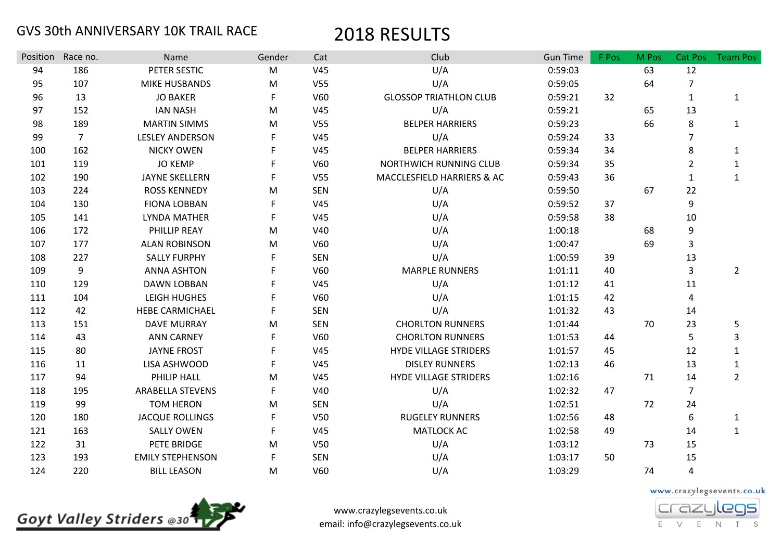| Position | Race no.       | Name                    | Gender | Cat             | Club                          | <b>Gun Time</b> | F Pos | M Pos | Cat Pos        | <b>Team Pos</b> |
|----------|----------------|-------------------------|--------|-----------------|-------------------------------|-----------------|-------|-------|----------------|-----------------|
| 94       | 186            | PETER SESTIC            | M      | V <sub>45</sub> | U/A                           | 0:59:03         |       | 63    | 12             |                 |
| 95       | 107            | MIKE HUSBANDS           | M      | V <sub>55</sub> | U/A                           | 0:59:05         |       | 64    | $\overline{7}$ |                 |
| 96       | 13             | <b>JO BAKER</b>         | F      | <b>V60</b>      | <b>GLOSSOP TRIATHLON CLUB</b> | 0:59:21         | 32    |       | $\mathbf{1}$   | $\mathbf{1}$    |
| 97       | 152            | <b>IAN NASH</b>         | M      | V <sub>45</sub> | U/A                           | 0:59:21         |       | 65    | 13             |                 |
| 98       | 189            | <b>MARTIN SIMMS</b>     | M      | V <sub>55</sub> | <b>BELPER HARRIERS</b>        | 0:59:23         |       | 66    | 8              | $\mathbf{1}$    |
| 99       | $\overline{7}$ | <b>LESLEY ANDERSON</b>  | F      | V45             | U/A                           | 0:59:24         | 33    |       | $\overline{7}$ |                 |
| 100      | 162            | <b>NICKY OWEN</b>       | F      | V <sub>45</sub> | <b>BELPER HARRIERS</b>        | 0:59:34         | 34    |       | 8              | $\mathbf{1}$    |
| 101      | 119            | <b>JO KEMP</b>          | F      | V60             | NORTHWICH RUNNING CLUB        | 0:59:34         | 35    |       | $\overline{2}$ | 1               |
| 102      | 190            | <b>JAYNE SKELLERN</b>   | F      | V <sub>55</sub> | MACCLESFIELD HARRIERS & AC    | 0:59:43         | 36    |       | $\mathbf{1}$   | $\mathbf{1}$    |
| 103      | 224            | <b>ROSS KENNEDY</b>     | M      | <b>SEN</b>      | U/A                           | 0:59:50         |       | 67    | 22             |                 |
| 104      | 130            | <b>FIONA LOBBAN</b>     | F      | V45             | U/A                           | 0:59:52         | 37    |       | 9              |                 |
| 105      | 141            | LYNDA MATHER            | F      | V45             | U/A                           | 0:59:58         | 38    |       | 10             |                 |
| 106      | 172            | PHILLIP REAY            | M      | V40             | U/A                           | 1:00:18         |       | 68    | 9              |                 |
| 107      | 177            | <b>ALAN ROBINSON</b>    | M      | <b>V60</b>      | U/A                           | 1:00:47         |       | 69    | 3              |                 |
| 108      | 227            | <b>SALLY FURPHY</b>     | F      | <b>SEN</b>      | U/A                           | 1:00:59         | 39    |       | 13             |                 |
| 109      | 9              | <b>ANNA ASHTON</b>      | F      | V60             | <b>MARPLE RUNNERS</b>         | 1:01:11         | 40    |       | 3              | $\overline{2}$  |
| 110      | 129            | <b>DAWN LOBBAN</b>      |        | V45             | U/A                           | 1:01:12         | 41    |       | 11             |                 |
| 111      | 104            | <b>LEIGH HUGHES</b>     |        | <b>V60</b>      | U/A                           | 1:01:15         | 42    |       | 4              |                 |
| 112      | 42             | <b>HEBE CARMICHAEL</b>  | F      | <b>SEN</b>      | U/A                           | 1:01:32         | 43    |       | 14             |                 |
| 113      | 151            | <b>DAVE MURRAY</b>      | M      | <b>SEN</b>      | <b>CHORLTON RUNNERS</b>       | 1:01:44         |       | 70    | 23             | 5               |
| 114      | 43             | <b>ANN CARNEY</b>       | F      | V60             | <b>CHORLTON RUNNERS</b>       | 1:01:53         | 44    |       | 5              | 3               |
| 115      | 80             | <b>JAYNE FROST</b>      | F      | V45             | HYDE VILLAGE STRIDERS         | 1:01:57         | 45    |       | 12             | $\mathbf{1}$    |
| 116      | 11             | LISA ASHWOOD            | F      | V45             | <b>DISLEY RUNNERS</b>         | 1:02:13         | 46    |       | 13             | $\mathbf{1}$    |
| 117      | 94             | PHILIP HALL             | M      | V45             | HYDE VILLAGE STRIDERS         | 1:02:16         |       | 71    | 14             | $\overline{2}$  |
| 118      | 195            | <b>ARABELLA STEVENS</b> | F      | V40             | U/A                           | 1:02:32         | 47    |       | $\overline{7}$ |                 |
| 119      | 99             | <b>TOM HERON</b>        | M      | <b>SEN</b>      | U/A                           | 1:02:51         |       | 72    | 24             |                 |
| 120      | 180            | <b>JACQUE ROLLINGS</b>  | F      | <b>V50</b>      | <b>RUGELEY RUNNERS</b>        | 1:02:56         | 48    |       | 6              | $\mathbf{1}$    |
| 121      | 163            | <b>SALLY OWEN</b>       | F      | V <sub>45</sub> | <b>MATLOCK AC</b>             | 1:02:58         | 49    |       | 14             | $\mathbf{1}$    |
| 122      | 31             | PETE BRIDGE             | M      | <b>V50</b>      | U/A                           | 1:03:12         |       | 73    | 15             |                 |
| 123      | 193            | <b>EMILY STEPHENSON</b> | F      | <b>SEN</b>      | U/A                           | 1:03:17         | 50    |       | 15             |                 |
| 124      | 220            | <b>BILL LEASON</b>      | M      | V60             | U/A                           | 1:03:29         |       | 74    | 4              |                 |



www.crazylegsevents.co.uk email: info@crazylegsevents.co.uk

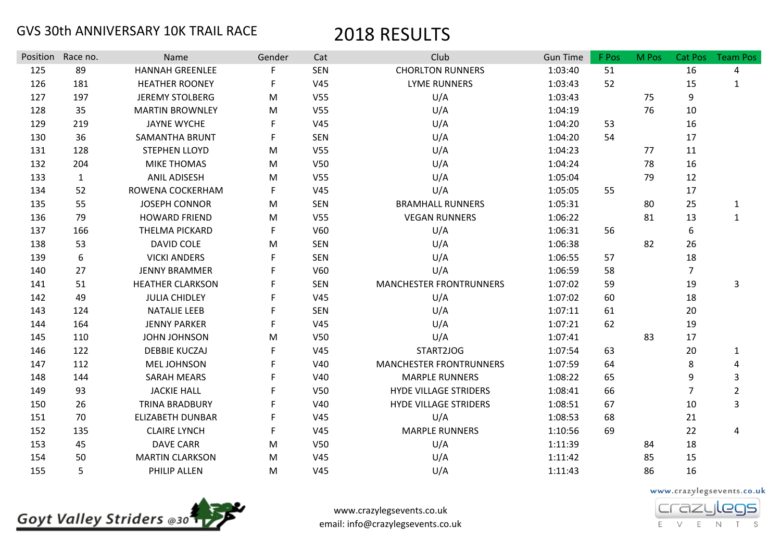| <b>Position</b> | Race no.     | Name                    | Gender | Cat             | Club                           | <b>Gun Time</b> | F Pos | M Pos | Cat Pos        | <b>Team Pos</b> |
|-----------------|--------------|-------------------------|--------|-----------------|--------------------------------|-----------------|-------|-------|----------------|-----------------|
| 125             | 89           | <b>HANNAH GREENLEE</b>  | F      | <b>SEN</b>      | <b>CHORLTON RUNNERS</b>        | 1:03:40         | 51    |       | 16             | 4               |
| 126             | 181          | <b>HEATHER ROONEY</b>   | F      | V45             | <b>LYME RUNNERS</b>            | 1:03:43         | 52    |       | 15             | $\mathbf 1$     |
| 127             | 197          | <b>JEREMY STOLBERG</b>  | M      | V <sub>55</sub> | U/A                            | 1:03:43         |       | 75    | 9              |                 |
| 128             | 35           | <b>MARTIN BROWNLEY</b>  | M      | V <sub>55</sub> | U/A                            | 1:04:19         |       | 76    | 10             |                 |
| 129             | 219          | <b>JAYNE WYCHE</b>      | F      | V45             | U/A                            | 1:04:20         | 53    |       | 16             |                 |
| 130             | 36           | <b>SAMANTHA BRUNT</b>   | F      | <b>SEN</b>      | U/A                            | 1:04:20         | 54    |       | 17             |                 |
| 131             | 128          | STEPHEN LLOYD           | M      | V <sub>55</sub> | U/A                            | 1:04:23         |       | 77    | 11             |                 |
| 132             | 204          | <b>MIKE THOMAS</b>      | M      | V <sub>50</sub> | U/A                            | 1:04:24         |       | 78    | 16             |                 |
| 133             | $\mathbf{1}$ | <b>ANIL ADISESH</b>     | M      | V <sub>55</sub> | U/A                            | 1:05:04         |       | 79    | 12             |                 |
| 134             | 52           | ROWENA COCKERHAM        | F      | V45             | U/A                            | 1:05:05         | 55    |       | 17             |                 |
| 135             | 55           | <b>JOSEPH CONNOR</b>    | M      | <b>SEN</b>      | <b>BRAMHALL RUNNERS</b>        | 1:05:31         |       | 80    | 25             | $\mathbf{1}$    |
| 136             | 79           | <b>HOWARD FRIEND</b>    | M      | V <sub>55</sub> | <b>VEGAN RUNNERS</b>           | 1:06:22         |       | 81    | 13             | $\mathbf{1}$    |
| 137             | 166          | THELMA PICKARD          | F      | <b>V60</b>      | U/A                            | 1:06:31         | 56    |       | 6              |                 |
| 138             | 53           | <b>DAVID COLE</b>       | M      | <b>SEN</b>      | U/A                            | 1:06:38         |       | 82    | 26             |                 |
| 139             | 6            | <b>VICKI ANDERS</b>     | F      | <b>SEN</b>      | U/A                            | 1:06:55         | 57    |       | 18             |                 |
| 140             | 27           | <b>JENNY BRAMMER</b>    | F      | V60             | U/A                            | 1:06:59         | 58    |       | $\overline{7}$ |                 |
| 141             | 51           | <b>HEATHER CLARKSON</b> | Е      | <b>SEN</b>      | <b>MANCHESTER FRONTRUNNERS</b> | 1:07:02         | 59    |       | 19             | 3               |
| 142             | 49           | <b>JULIA CHIDLEY</b>    | F      | V45             | U/A                            | 1:07:02         | 60    |       | 18             |                 |
| 143             | 124          | <b>NATALIE LEEB</b>     | F      | <b>SEN</b>      | U/A                            | 1:07:11         | 61    |       | 20             |                 |
| 144             | 164          | <b>JENNY PARKER</b>     | F      | V45             | U/A                            | 1:07:21         | 62    |       | 19             |                 |
| 145             | 110          | <b>JOHN JOHNSON</b>     | M      | V50             | U/A                            | 1:07:41         |       | 83    | 17             |                 |
| 146             | 122          | <b>DEBBIE KUCZAJ</b>    | F      | V45             | START2JOG                      | 1:07:54         | 63    |       | 20             | $\mathbf{1}$    |
| 147             | 112          | <b>MEL JOHNSON</b>      |        | V40             | <b>MANCHESTER FRONTRUNNERS</b> | 1:07:59         | 64    |       | 8              | 4               |
| 148             | 144          | <b>SARAH MEARS</b>      | F      | <b>V40</b>      | <b>MARPLE RUNNERS</b>          | 1:08:22         | 65    |       | 9              | 3               |
| 149             | 93           | <b>JACKIE HALL</b>      | F      | V50             | <b>HYDE VILLAGE STRIDERS</b>   | 1:08:41         | 66    |       | $\overline{7}$ | $\overline{2}$  |
| 150             | 26           | <b>TRINA BRADBURY</b>   | E      | V40             | <b>HYDE VILLAGE STRIDERS</b>   | 1:08:51         | 67    |       | 10             | 3               |
| 151             | 70           | <b>ELIZABETH DUNBAR</b> | F      | V45             | U/A                            | 1:08:53         | 68    |       | 21             |                 |
| 152             | 135          | <b>CLAIRE LYNCH</b>     | F      | V45             | <b>MARPLE RUNNERS</b>          | 1:10:56         | 69    |       | 22             | 4               |
| 153             | 45           | <b>DAVE CARR</b>        | M      | V <sub>50</sub> | U/A                            | 1:11:39         |       | 84    | 18             |                 |
| 154             | 50           | <b>MARTIN CLARKSON</b>  | M      | V45             | U/A                            | 1:11:42         |       | 85    | 15             |                 |
| 155             | 5            | PHILIP ALLEN            | M      | V45             | U/A                            | 1:11:43         |       | 86    | 16             |                 |



www.crazylegsevents.co.uk email: info@crazylegsevents.co.uk